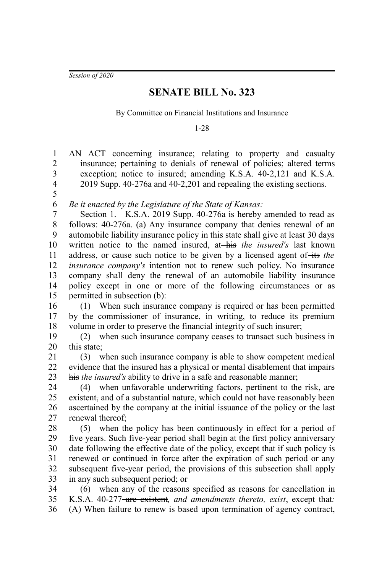*Session of 2020*

## **SENATE BILL No. 323**

By Committee on Financial Institutions and Insurance

1-28

AN ACT concerning insurance; relating to property and casualty insurance; pertaining to denials of renewal of policies; altered terms exception; notice to insured; amending K.S.A. 40-2,121 and K.S.A. 2019 Supp. 40-276a and 40-2,201 and repealing the existing sections. *Be it enacted by the Legislature of the State of Kansas:* Section 1. K.S.A. 2019 Supp. 40-276a is hereby amended to read as follows: 40-276a. (a) Any insurance company that denies renewal of an automobile liability insurance policy in this state shall give at least 30 days written notice to the named insured, at-his the insured's last known address, or cause such notice to be given by a licensed agent of its the *insurance company's* intention not to renew such policy. No insurance company shall deny the renewal of an automobile liability insurance policy except in one or more of the following circumstances or as permitted in subsection (b): (1) When such insurance company is required or has been permitted by the commissioner of insurance, in writing, to reduce its premium volume in order to preserve the financial integrity of such insurer; (2) when such insurance company ceases to transact such business in this state; (3) when such insurance company is able to show competent medical evidence that the insured has a physical or mental disablement that impairs his *the insured's* ability to drive in a safe and reasonable manner; (4) when unfavorable underwriting factors, pertinent to the risk, are existent, and of a substantial nature, which could not have reasonably been ascertained by the company at the initial issuance of the policy or the last renewal thereof; (5) when the policy has been continuously in effect for a period of five years. Such five-year period shall begin at the first policy anniversary date following the effective date of the policy, except that if such policy is renewed or continued in force after the expiration of such period or any subsequent five-year period, the provisions of this subsection shall apply in any such subsequent period; or (6) when any of the reasons specified as reasons for cancellation in K.S.A. 40-277<del>-are existent</del>, and amendments thereto, exist, except that: (A) When failure to renew is based upon termination of agency contract, 1 2 3 4 5 6 7 8 9 10 11 12 13 14 15 16 17 18 19 20 21 22 23 24 25 26 27 28 29 30 31 32 33 34 35 36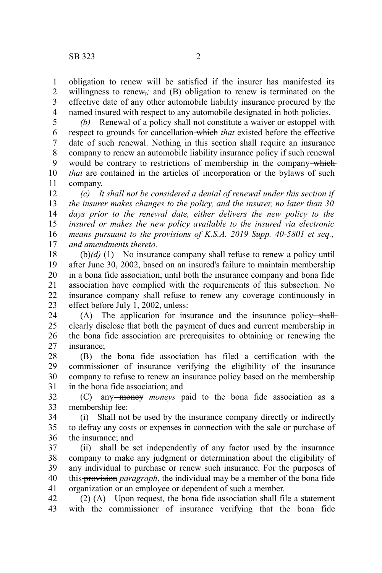obligation to renew will be satisfied if the insurer has manifested its willingness to renew<sub>7</sub>; and (B) obligation to renew is terminated on the effective date of any other automobile liability insurance procured by the named insured with respect to any automobile designated in both policies. 1 2 3 4

*(b)* Renewal of a policy shall not constitute a waiver or estoppel with respect to grounds for cancellation which *that* existed before the effective date of such renewal. Nothing in this section shall require an insurance company to renew an automobile liability insurance policy if such renewal would be contrary to restrictions of membership in the company-which *that* are contained in the articles of incorporation or the bylaws of such company. 5 6 7 8 9 10 11

*(c) It shall not be considered a denial of renewal under this section if the insurer makes changes to the policy, and the insurer, no later than 30 days prior to the renewal date, either delivers the new policy to the insured or makes the new policy available to the insured via electronic means pursuant to the provisions of K.S.A. 2019 Supp. 40-5801 et seq., and amendments thereto.* 12 13 14 15 16 17

 $(\theta)$ (d) (1) No insurance company shall refuse to renew a policy until after June 30, 2002, based on an insured's failure to maintain membership in a bona fide association, until both the insurance company and bona fide association have complied with the requirements of this subsection. No insurance company shall refuse to renew any coverage continuously in effect before July 1, 2002, unless: 18 19 20 21 22 23

(A) The application for insurance and the insurance policy-shallclearly disclose that both the payment of dues and current membership in the bona fide association are prerequisites to obtaining or renewing the insurance; 24 25 26 27

(B) the bona fide association has filed a certification with the commissioner of insurance verifying the eligibility of the insurance company to refuse to renew an insurance policy based on the membership in the bona fide association; and 28 29 30 31

(C) any money *moneys* paid to the bona fide association as a membership fee: 32 33

(i) Shall not be used by the insurance company directly or indirectly to defray any costs or expenses in connection with the sale or purchase of the insurance; and 34 35 36

(ii) shall be set independently of any factor used by the insurance company to make any judgment or determination about the eligibility of any individual to purchase or renew such insurance. For the purposes of this provision *paragraph*, the individual may be a member of the bona fide organization or an employee or dependent of such a member. 37 38 39 40 41

(2) (A) Upon request*,* the bona fide association shall file a statement with the commissioner of insurance verifying that the bona fide 42 43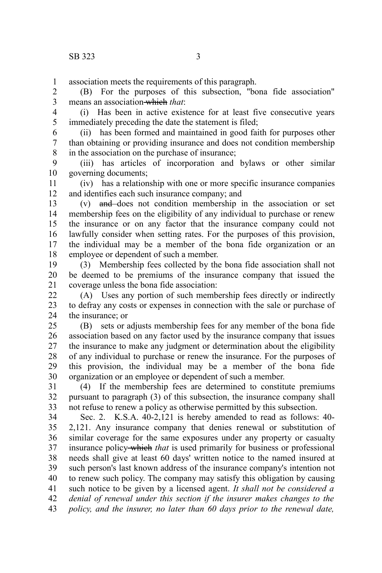association meets the requirements of this paragraph. 1

(B) For the purposes of this subsection, "bona fide association" means an association which *that*: 2 3

(i) Has been in active existence for at least five consecutive years immediately preceding the date the statement is filed; 4 5

(ii) has been formed and maintained in good faith for purposes other than obtaining or providing insurance and does not condition membership in the association on the purchase of insurance; 6 7 8

(iii) has articles of incorporation and bylaws or other similar governing documents; 9 10

(iv) has a relationship with one or more specific insurance companies and identifies each such insurance company; and 11 12

(v) and does not condition membership in the association or set membership fees on the eligibility of any individual to purchase or renew the insurance or on any factor that the insurance company could not lawfully consider when setting rates. For the purposes of this provision, the individual may be a member of the bona fide organization or an employee or dependent of such a member. 13 14 15 16 17 18

(3) Membership fees collected by the bona fide association shall not be deemed to be premiums of the insurance company that issued the coverage unless the bona fide association: 19 20 21

(A) Uses any portion of such membership fees directly or indirectly to defray any costs or expenses in connection with the sale or purchase of the insurance; or  $22$ 23 24

(B) sets or adjusts membership fees for any member of the bona fide association based on any factor used by the insurance company that issues the insurance to make any judgment or determination about the eligibility of any individual to purchase or renew the insurance. For the purposes of this provision, the individual may be a member of the bona fide organization or an employee or dependent of such a member. 25 26 27 28 29 30

(4) If the membership fees are determined to constitute premiums pursuant to paragraph (3) of this subsection, the insurance company shall not refuse to renew a policy as otherwise permitted by this subsection. 31 32 33

Sec. 2. K.S.A. 40-2,121 is hereby amended to read as follows: 40- 2,121. Any insurance company that denies renewal or substitution of similar coverage for the same exposures under any property or casualty insurance policy which *that* is used primarily for business or professional needs shall give at least 60 days' written notice to the named insured at such person's last known address of the insurance company's intention not to renew such policy. The company may satisfy this obligation by causing such notice to be given by a licensed agent. *It shall not be considered a denial of renewal under this section if the insurer makes changes to the policy, and the insurer, no later than 60 days prior to the renewal date,* 34 35 36 37 38 39 40 41 42 43